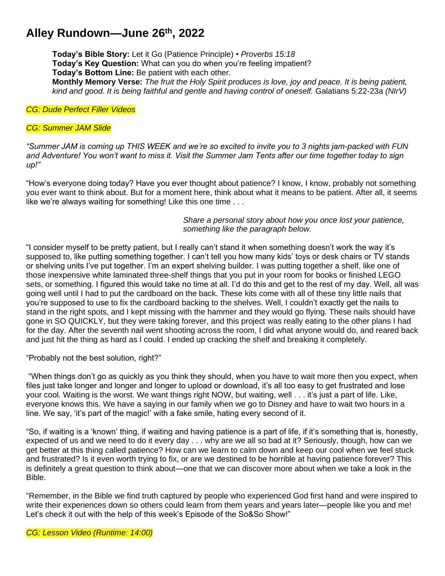## **Alley Rundown—June 26th , 2022**

**Today's Bible Story:** Let it Go (Patience Principle) • *Proverbs 15:18* **Today's Key Question:** What can you do when you're feeling impatient? **Today's Bottom Line:** Be patient with each other. **Monthly Memory Verse:** *The fruit the Holy Spirit produces is love, joy and peace. It is being patient, kind and good. It is being faithful and gentle and having control of oneself.* Galatians 5:22-23a *(NIrV)*

*CG: Dude Perfect Filler Videos*

## *CG: Summer JAM Slide*

*"Summer JAM is coming up THIS WEEK and we're so excited to invite you to 3 nights jam-packed with FUN and Adventure! You won't want to miss it. Visit the Summer Jam Tents after our time together today to sign up!"*

"How's everyone doing today? Have you ever thought about patience? I know, I know, probably not something you ever want to think about. But for a moment here, think about what it means to be patient. After all, it seems like we're always waiting for something! Like this one time . . .

> *Share a personal story about how you once lost your patience, something like the paragraph below.*

"I consider myself to be pretty patient, but I really can't stand it when something doesn't work the way it's supposed to, like putting something together. I can't tell you how many kids' toys or desk chairs or TV stands or shelving units I've put together. I'm an expert shelving builder. I was putting together a shelf, like one of those inexpensive white laminated three-shelf things that you put in your room for books or finished LEGO sets, or something. I figured this would take no time at all. I'd do this and get to the rest of my day. Well, all was going well until I had to put the cardboard on the back. These kits come with all of these tiny little nails that you're supposed to use to fix the cardboard backing to the shelves. Well, I couldn't exactly get the nails to stand in the right spots, and I kept missing with the hammer and they would go flying. These nails should have gone in SO QUICKLY, but they were taking forever, and this project was really eating to the other plans I had for the day. After the seventh nail went shooting across the room, I did what anyone would do, and reared back and just hit the thing as hard as I could. I ended up cracking the shelf and breaking it completely.

"Probably not the best solution, right?"

"When things don't go as quickly as you think they should, when you have to wait more then you expect, when files just take longer and longer and longer to upload or download, it's all too easy to get frustrated and lose your cool. Waiting is the worst. We want things right NOW, but waiting, well . . . it's just a part of life. Like, everyone knows this. We have a saying in our family when we go to Disney and have to wait two hours in a line. We say, 'it's part of the magic!' with a fake smile, hating every second of it.

"So, if waiting is a 'known' thing, if waiting and having patience is a part of life, if it's something that is, honestly, expected of us and we need to do it every day . . . why are we all so bad at it? Seriously, though, how can we get better at this thing called patience? How can we learn to calm down and keep our cool when we feel stuck and frustrated? Is it even worth trying to fix, or are we destined to be horrible at having patience forever? This is definitely a great question to think about—one that we can discover more about when we take a look in the Bible.

"Remember, in the Bible we find truth captured by people who experienced God first hand and were inspired to write their experiences down so others could learn from them years and years later—people like you and me! Let's check it out with the help of this week's Episode of the So&So Show!"